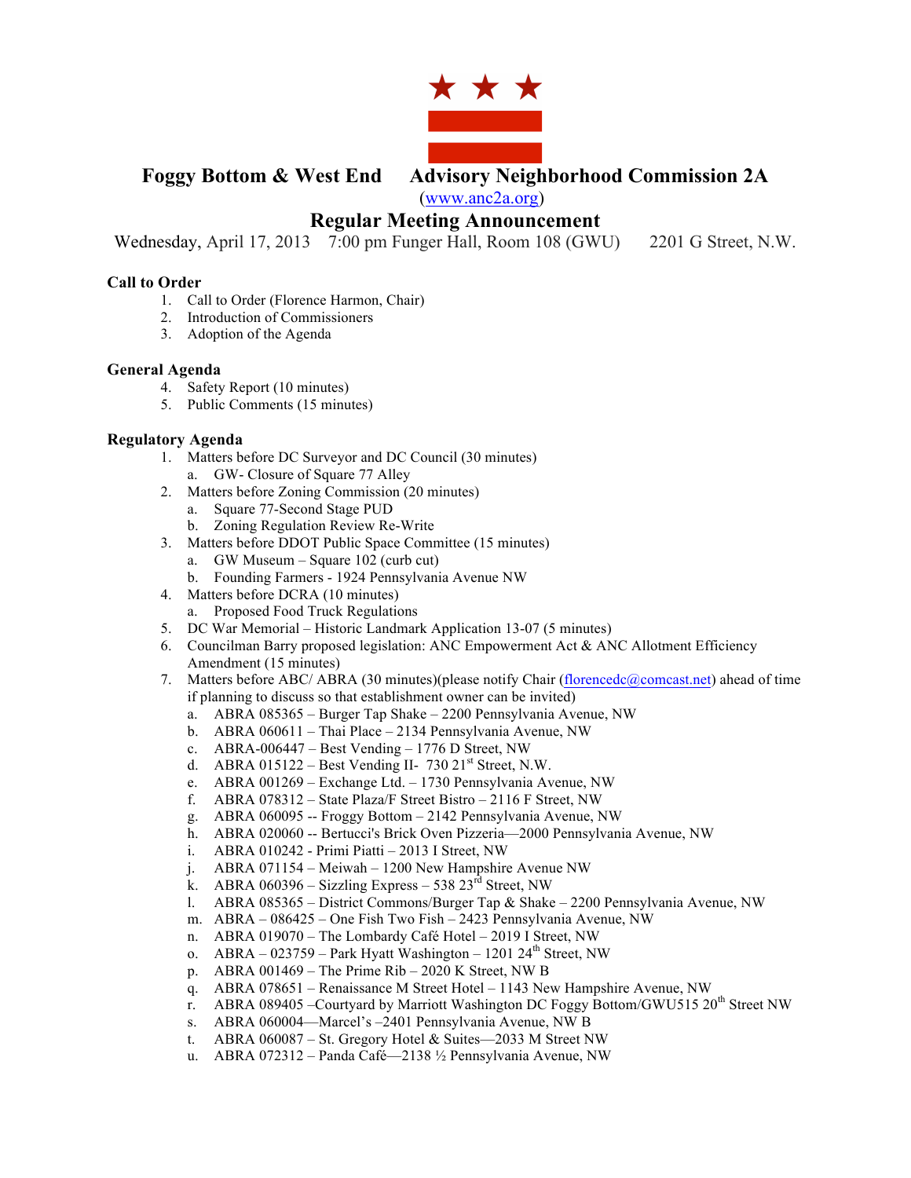

# **Foggy Bottom & West End Advisory Neighborhood Commission 2A**

(www.anc2a.org)

## **Regular Meeting Announcement**

Wednesday, April 17, 2013 7:00 pm Funger Hall, Room 108 (GWU) 2201 G Street, N.W.

#### **Call to Order**

- 1. Call to Order (Florence Harmon, Chair)
- 2. Introduction of Commissioners
- 3. Adoption of the Agenda

#### **General Agenda**

- 4. Safety Report (10 minutes)
- 5. Public Comments (15 minutes)

#### **Regulatory Agenda**

- 1. Matters before DC Surveyor and DC Council (30 minutes)
	- a. GW- Closure of Square 77 Alley
- 2. Matters before Zoning Commission (20 minutes)
	- a. Square 77-Second Stage PUD
	- b. Zoning Regulation Review Re-Write
- 3. Matters before DDOT Public Space Committee (15 minutes)
	- a. GW Museum Square 102 (curb cut)
	- b. Founding Farmers 1924 Pennsylvania Avenue NW
- 4. Matters before DCRA (10 minutes)
	- a. Proposed Food Truck Regulations
- 5. DC War Memorial Historic Landmark Application 13-07 (5 minutes)
- 6. Councilman Barry proposed legislation: ANC Empowerment Act  $\&$  ANC Allotment Efficiency Amendment (15 minutes)
- 7. Matters before ABC/ ABRA (30 minutes)(please notify Chair (florencedc@comcast.net) ahead of time if planning to discuss so that establishment owner can be invited)
	- a. ABRA 085365 Burger Tap Shake 2200 Pennsylvania Avenue, NW
	- b. ABRA 060611 Thai Place 2134 Pennsylvania Avenue, NW
	- c. ABRA-006447 Best Vending 1776 D Street, NW
	- d. ABRA 015122 Best Vending II- 730  $21<sup>st</sup>$  Street, N.W.
	- e. ABRA 001269 Exchange Ltd. 1730 Pennsylvania Avenue, NW
	- f. ABRA 078312 State Plaza/F Street Bistro 2116 F Street, NW
	- g. ABRA 060095 -- Froggy Bottom 2142 Pennsylvania Avenue, NW
	- h. ABRA 020060 -- Bertucci's Brick Oven Pizzeria—2000 Pennsylvania Avenue, NW
	- i. ABRA 010242 Primi Piatti 2013 I Street, NW
	- j. ABRA 071154 Meiwah 1200 New Hampshire Avenue NW
	- k. ABRA 060396 Sizzling Express 538  $23<sup>rd</sup>$  Street, NW
	- l. ABRA 085365 District Commons/Burger Tap & Shake 2200 Pennsylvania Avenue, NW
	- m. ABRA 086425 One Fish Two Fish 2423 Pennsylvania Avenue, NW
	- n. ABRA 019070 The Lombardy Café Hotel 2019 I Street, NW
	- o. ABRA 023759 Park Hyatt Washington 1201 24<sup>th</sup> Street, NW
	- p. ABRA 001469 The Prime Rib 2020 K Street, NW B
	- q. ABRA 078651 Renaissance M Street Hotel 1143 New Hampshire Avenue, NW
	- r. ABRA 089405 –Courtyard by Marriott Washington DC Foggy Bottom/GWU515  $20<sup>th</sup>$  Street NW
	- s. ABRA 060004—Marcel's –2401 Pennsylvania Avenue, NW B
	- t. ABRA 060087 St. Gregory Hotel & Suites—2033 M Street NW
	- u. ABRA 072312 Panda Café—2138 ½ Pennsylvania Avenue, NW